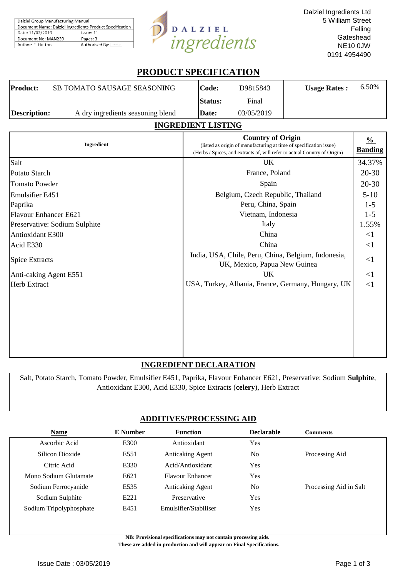| Dalziel Group Manufacturing Manual                       |                |  |  |  |
|----------------------------------------------------------|----------------|--|--|--|
| Document Name: Dalziel Ingredients Product Specification |                |  |  |  |
| Date: 11/02/2019<br>Issue: 11                            |                |  |  |  |
| Document No: MAN239                                      | Pages: 3       |  |  |  |
| Author: F. Hutton                                        | Authorised By: |  |  |  |



# **PRODUCT SPECIFICATION**

| Product:     | SB TOMATO SAUSAGE SEASONING       | Code:          | D9815843   | <b>Usage Rates:</b> | 6.50% |
|--------------|-----------------------------------|----------------|------------|---------------------|-------|
|              |                                   | <b>Status:</b> | Final      |                     |       |
| Description: | A dry ingredients seasoning blend | Date:          | 03/05/2019 |                     |       |
|              |                                   |                |            |                     |       |

# **INGREDIENT LISTING**

| Ingredient                    | <b>Country of Origin</b><br>(listed as origin of manufacturing at time of specification issue)<br>(Herbs / Spices, and extracts of, will refer to actual Country of Origin) | $\frac{0}{0}$<br><b>Banding</b> |
|-------------------------------|-----------------------------------------------------------------------------------------------------------------------------------------------------------------------------|---------------------------------|
| Salt                          | UK                                                                                                                                                                          | 34.37%                          |
| Potato Starch                 | France, Poland                                                                                                                                                              | $20 - 30$                       |
| Tomato Powder                 | Spain                                                                                                                                                                       | $20 - 30$                       |
| Emulsifier E451               | Belgium, Czech Republic, Thailand                                                                                                                                           | $5-10$                          |
| Paprika                       | Peru, China, Spain                                                                                                                                                          | $1-5$                           |
| Flavour Enhancer E621         | Vietnam, Indonesia                                                                                                                                                          | $1 - 5$                         |
| Preservative: Sodium Sulphite | Italy                                                                                                                                                                       | 1.55%                           |
| Antioxidant E300              | China                                                                                                                                                                       | $\leq$ 1                        |
| Acid E330                     | China                                                                                                                                                                       | $\leq$ 1                        |
| <b>Spice Extracts</b>         | India, USA, Chile, Peru, China, Belgium, Indonesia,<br>UK, Mexico, Papua New Guinea                                                                                         | $\leq$ 1                        |
| Anti-caking Agent E551        | UK                                                                                                                                                                          | $\leq$ 1                        |
| <b>Herb Extract</b>           | USA, Turkey, Albania, France, Germany, Hungary, UK                                                                                                                          | <1                              |
|                               |                                                                                                                                                                             |                                 |
|                               |                                                                                                                                                                             |                                 |
|                               |                                                                                                                                                                             |                                 |
|                               |                                                                                                                                                                             |                                 |

## **INGREDIENT DECLARATION**

Salt, Potato Starch, Tomato Powder, Emulsifier E451, Paprika, Flavour Enhancer E621, Preservative: Sodium **Sulphite**, Antioxidant E300, Acid E330, Spice Extracts (**celery**), Herb Extract

# **ADDITIVES/PROCESSING AID**

| <b>Name</b>             | <b>E</b> Number  | <b>Function</b>         | <b>Declarable</b> | <b>Comments</b>        |
|-------------------------|------------------|-------------------------|-------------------|------------------------|
| Ascorbic Acid           | E300             | Antioxidant             | Yes               |                        |
| Silicon Dioxide         | E551             | <b>Anticaking Agent</b> | N <sub>0</sub>    | Processing Aid         |
| Citric Acid             | E330             | Acid/Antioxidant        | Yes               |                        |
| Mono Sodium Glutamate   | E621             | <b>Flavour Enhancer</b> | Yes               |                        |
| Sodium Ferrocyanide     | E535             | <b>Anticaking Agent</b> | N <sub>0</sub>    | Processing Aid in Salt |
| Sodium Sulphite         | E <sub>221</sub> | Preservative            | <b>Yes</b>        |                        |
| Sodium Tripolyphosphate | E451             | Emulsifier/Stabiliser   | Yes               |                        |
|                         |                  |                         |                   |                        |

**NB: Provisional specifications may not contain processing aids.** 

 **These are added in production and will appear on Final Specifications.**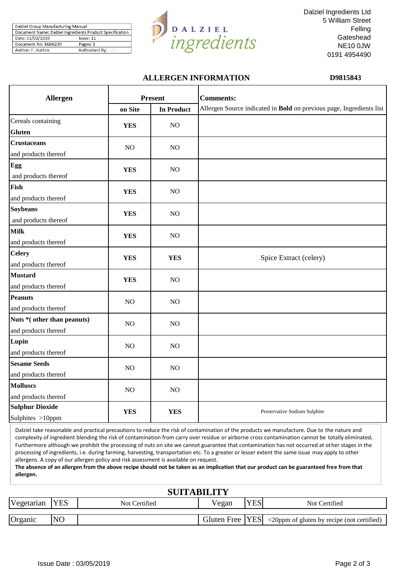| Dalziel Group Manufacturing Manual                       |                |  |  |  |
|----------------------------------------------------------|----------------|--|--|--|
| Document Name: Dalziel Ingredients Product Specification |                |  |  |  |
| Date: 11/02/2019                                         | Issue: 11      |  |  |  |
| Document No: MAN239                                      | Pages: 3       |  |  |  |
| Author: F. Hutton                                        | Authorised By: |  |  |  |



Dalziel Ingredients Ltd 5 William Street Felling **Gateshead** NE10 0JW 0191 4954490

## **ALLERGEN INFORMATION D9815843**

| Allergen                                           |            | <b>Present</b>    | <b>Comments:</b>                                                     |  |  |
|----------------------------------------------------|------------|-------------------|----------------------------------------------------------------------|--|--|
|                                                    | on Site    | <b>In Product</b> | Allergen Source indicated in Bold on previous page, Ingredients list |  |  |
| Cereals containing<br><b>Gluten</b>                | <b>YES</b> | NO                |                                                                      |  |  |
| <b>Crustaceans</b><br>and products thereof         | NO         | NO                |                                                                      |  |  |
| Egg<br>and products thereof                        | <b>YES</b> | NO                |                                                                      |  |  |
| Fish<br>and products thereof                       | <b>YES</b> | N <sub>O</sub>    |                                                                      |  |  |
| <b>Soybeans</b><br>and products thereof            | <b>YES</b> | NO                |                                                                      |  |  |
| <b>Milk</b><br>and products thereof                | <b>YES</b> | NO                |                                                                      |  |  |
| <b>Celery</b><br>and products thereof              | <b>YES</b> | <b>YES</b>        | Spice Extract (celery)                                               |  |  |
| <b>Mustard</b><br>and products thereof             | <b>YES</b> | NO                |                                                                      |  |  |
| <b>Peanuts</b><br>and products thereof             | NO         | NO                |                                                                      |  |  |
| Nuts *(other than peanuts)<br>and products thereof | NO         | NO                |                                                                      |  |  |
| Lupin<br>and products thereof                      | NO         | NO                |                                                                      |  |  |
| <b>Sesame Seeds</b><br>and products thereof        | NO         | NO                |                                                                      |  |  |
| <b>Molluscs</b><br>and products thereof            | NO         | NO                |                                                                      |  |  |
| <b>Sulphur Dioxide</b><br>Sulphites >10ppm         | <b>YES</b> | <b>YES</b>        | Preservative Sodium Sulphite                                         |  |  |

Dalziel take reasonable and practical precautions to reduce the risk of contamination of the products we manufacture. Due to the nature and complexity of ingredient blending the risk of contamination from carry over residue or airborne cross contamination cannot be totally eliminated**.**  Furthermore although we prohibit the processing of nuts on site we cannot guarantee that contamination has not occurred at other stages in the processing of ingredients, i.e. during farming, harvesting, transportation etc. To a greater or lesser extent the same issue may apply to other allergens. A copy of our allergen policy and risk assessment is available on request.

**The absence of an allergen from the above recipe should not be taken as an implication that our product can be guaranteed free from that allergen.**

| <b>SUITABILITY</b> |                |               |       |            |                                                               |  |  |
|--------------------|----------------|---------------|-------|------------|---------------------------------------------------------------|--|--|
| Vegetarian         | <b>YES</b>     | Not Certified | Vegan | <b>YES</b> | Not Certified                                                 |  |  |
| Organic            | N <sub>O</sub> |               |       |            | Gluten Free   YES  <20ppm of gluten by recipe (not certified) |  |  |